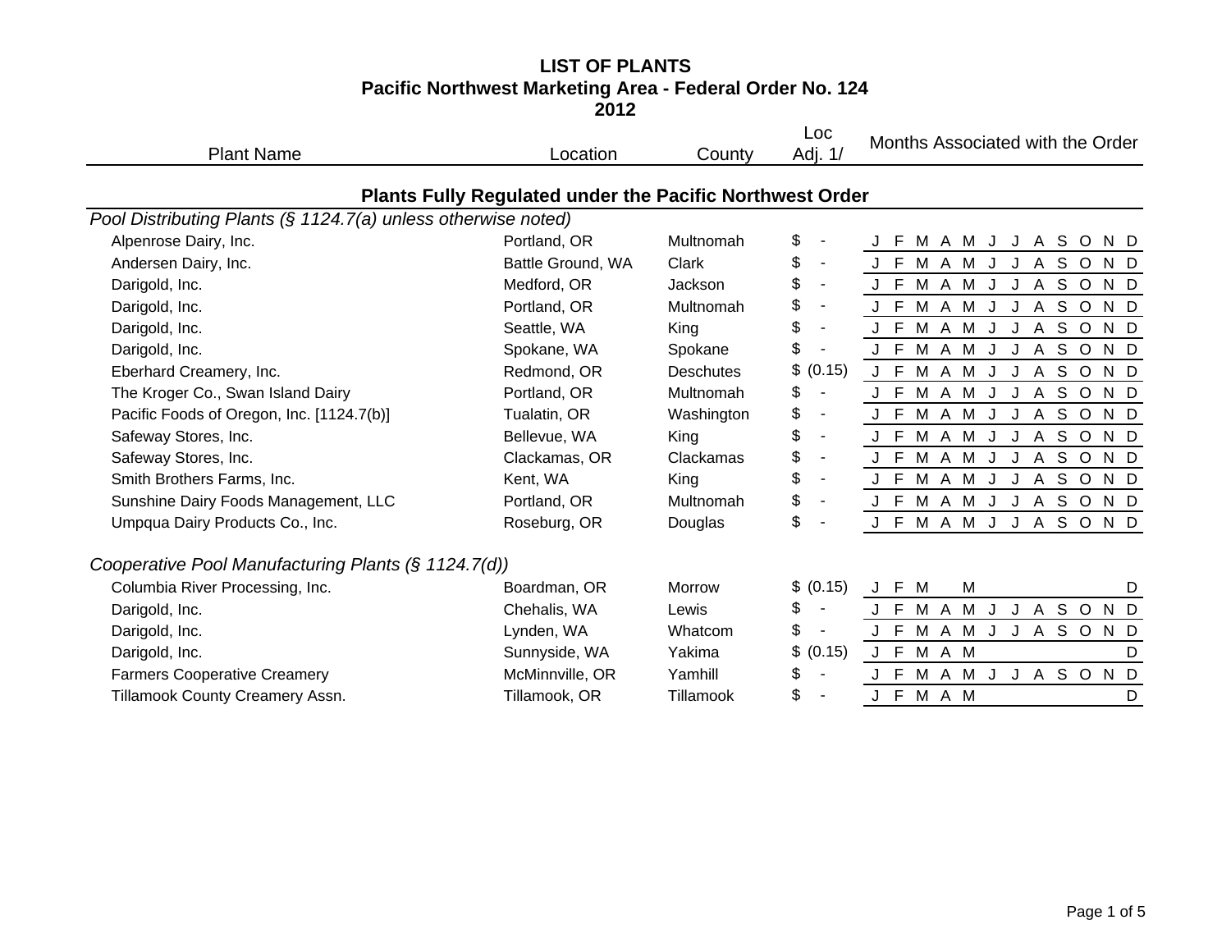## **LIST OF PLANTSPacific Northwest Marketing Area - Federal Order No. 124**

**2012**

| <b>Plant Name</b>                                             | Location                                                        | County           | Loc<br>Adj. 1/                 | Months Associated with the Order                                |
|---------------------------------------------------------------|-----------------------------------------------------------------|------------------|--------------------------------|-----------------------------------------------------------------|
|                                                               | <b>Plants Fully Regulated under the Pacific Northwest Order</b> |                  |                                |                                                                 |
| Pool Distributing Plants (§ 1124.7(a) unless otherwise noted) |                                                                 |                  |                                |                                                                 |
| Alpenrose Dairy, Inc.                                         | Portland, OR                                                    | Multnomah        | \$                             | M A M J<br>J A S O<br>N D                                       |
| Andersen Dairy, Inc.                                          | Battle Ground, WA                                               | Clark            | \$<br>$\overline{\phantom{a}}$ | A S O<br>J F<br>M A M J<br>N D<br>J                             |
| Darigold, Inc.                                                | Medford, OR                                                     | Jackson          | \$<br>$\blacksquare$           | M A M<br>J A S O<br>J F<br>$\mathsf{J}$<br>N D                  |
| Darigold, Inc.                                                | Portland, OR                                                    | Multnomah        | \$<br>$\overline{\phantom{a}}$ | M A M<br>J<br>S O<br>J F<br>J<br>$\mathsf{A}$<br>N D            |
| Darigold, Inc.                                                | Seattle, WA                                                     | King             | \$<br>$\overline{\phantom{a}}$ | S O<br>J F<br>M A M<br>J<br>$\mathsf{A}$<br>N D<br>J            |
| Darigold, Inc.                                                | Spokane, WA                                                     | Spokane          | \$                             | M A M<br>J J A S O<br>J F<br>N D                                |
| Eberhard Creamery, Inc.                                       | Redmond, OR                                                     | <b>Deschutes</b> | \$<br>(0.15)                   | M A M<br>S<br>J F<br>$\mathsf{A}$<br>$\circ$<br>J<br>J<br>N D   |
| The Kroger Co., Swan Island Dairy                             | Portland, OR                                                    | Multnomah        | \$                             | S<br>$J$ F<br>M A M<br>$\circ$<br>N D<br>J<br>$\mathsf{A}$<br>J |
| Pacific Foods of Oregon, Inc. [1124.7(b)]                     | Tualatin, OR                                                    | Washington       | \$<br>$\overline{\phantom{a}}$ | M A M J<br>A S O<br>J F<br>J<br>N D                             |
| Safeway Stores, Inc.                                          | Bellevue, WA                                                    | King             | \$<br>$\blacksquare$           | A S O<br>M A M<br>J F<br>J<br>J<br>N D                          |
| Safeway Stores, Inc.                                          | Clackamas, OR                                                   | Clackamas        | \$<br>$\overline{\phantom{a}}$ | S<br>J F<br>M A M<br>$\circ$<br>N D<br>J<br>$\mathsf{A}$<br>J   |
| Smith Brothers Farms, Inc.                                    | Kent, WA                                                        | King             | \$<br>$\overline{\phantom{a}}$ | M A M J<br>J A S O<br>J F<br>N D                                |
| Sunshine Dairy Foods Management, LLC                          | Portland, OR                                                    | Multnomah        | \$<br>$\blacksquare$           | $J$ F<br>M A M<br>S O<br>J<br>J<br>$\mathsf{A}$<br>N D          |
| Umpqua Dairy Products Co., Inc.                               | Roseburg, OR                                                    | Douglas          | \$                             | J F M A M<br>SOND<br>J J A                                      |
| Cooperative Pool Manufacturing Plants (§ 1124.7(d))           |                                                                 |                  |                                |                                                                 |
| Columbia River Processing, Inc.                               | Boardman, OR                                                    | Morrow           | \$ (0.15)                      | J F<br>M<br>M<br>D                                              |
| Darigold, Inc.                                                | Chehalis, WA                                                    | Lewis            | \$<br>$\blacksquare$           | M A M<br>J A S O<br>J<br>N D<br>J F                             |
| Darigold, Inc.                                                | Lynden, WA                                                      | Whatcom          | \$<br>$\overline{\phantom{a}}$ | M A M J<br>J A S O<br>J F<br>N D                                |
| Darigold, Inc.                                                | Sunnyside, WA                                                   | Yakima           | \$<br>(0.15)                   | J F M A M<br>D                                                  |
| <b>Farmers Cooperative Creamery</b>                           | McMinnville, OR                                                 | Yamhill          | \$<br>$\overline{\phantom{a}}$ | M A M<br>J J A S O<br>N <sub>D</sub><br>E                       |
| Tillamook County Creamery Assn.                               | Tillamook, OR                                                   | Tillamook        | \$                             | J F<br>M A M<br>D                                               |
|                                                               |                                                                 |                  |                                |                                                                 |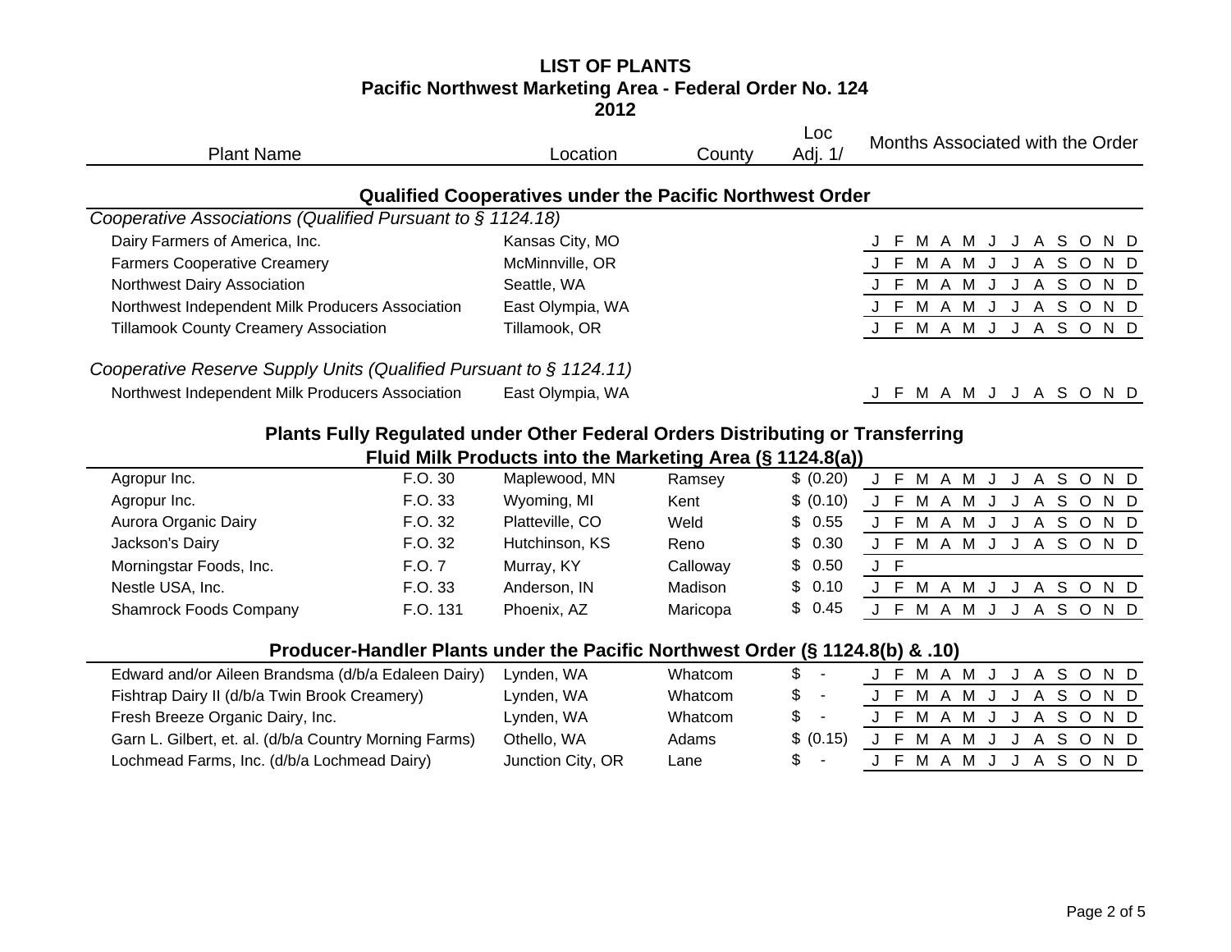#### **LIST OF PLANTS Pacific Northwest Marketing Area - Federal Order No. 124 2012**

| <b>Plant Name</b>                                                              | Location                                                        | County | Loc<br>Adj. 1/ | Months Associated with the Order         |
|--------------------------------------------------------------------------------|-----------------------------------------------------------------|--------|----------------|------------------------------------------|
|                                                                                | <b>Qualified Cooperatives under the Pacific Northwest Order</b> |        |                |                                          |
| Cooperative Associations (Qualified Pursuant to § 1124.18)                     |                                                                 |        |                |                                          |
| Dairy Farmers of America, Inc.                                                 | Kansas City, MO                                                 |        |                | A S O<br>N D<br>MAMJ<br>-F<br>J          |
| <b>Farmers Cooperative Creamery</b>                                            | McMinnville, OR                                                 |        |                | S O<br>MAM<br>N D<br>A                   |
| Northwest Dairy Association                                                    | Seattle, WA                                                     |        |                | S.<br>N D<br>M<br>A<br>$\circ$<br>м<br>A |
| Northwest Independent Milk Producers Association                               | East Olympia, WA                                                |        |                | S.<br>N D<br>$\circ$<br>A<br>M<br>A M    |
| <b>Tillamook County Creamery Association</b>                                   | Tillamook, OR                                                   |        |                | ASOND<br>J F M A M J<br>J                |
| Cooperative Reserve Supply Units (Qualified Pursuant to $\S$ 1124.11)          |                                                                 |        |                |                                          |
| Northwest Independent Milk Producers Association                               | East Olympia, WA                                                |        |                | F M A M J J A S O N D                    |
| Plants Fully Regulated under Other Federal Orders Distributing or Transferring |                                                                 |        |                |                                          |
|                                                                                | Fluid Milk Products into the Marketing Area (§ 1124.8(a))       |        |                |                                          |
| E O 30<br>Aaropur Inc                                                          | Manlowood MN                                                    | Domeou | (0.20)         | C M A M<br>1 C O N D                     |

| Agropur Inc.                  | F.O. 30  | Maplewood, MN   | Ramsey   | \$ (0.20) |  | F M A M J J |   |  |   | A S O N D |  |
|-------------------------------|----------|-----------------|----------|-----------|--|-------------|---|--|---|-----------|--|
| Agropur Inc.                  | F.O. 33  | Wyoming, MI     | Kent     | \$ (0.10) |  | J F M A M   |   |  |   | A S O N D |  |
| Aurora Organic Dairy          | F.O. 32  | Platteville, CO | Weld     | \$ 0.55   |  | MAM         |   |  |   | A S O N D |  |
| Jackson's Dairy               | F.O. 32  | Hutchinson, KS  | Reno     | \$ 0.30   |  | MA          | M |  | A | S O N D   |  |
| Morningstar Foods, Inc.       | F.O. 7   | Murray, KY      | Calloway | \$0.50    |  |             |   |  |   |           |  |
| Nestle USA, Inc.              | F.O. 33  | Anderson, IN    | Madison  | \$ 0.10   |  | MA          | M |  |   | ASOND     |  |
| <b>Shamrock Foods Company</b> | F.O. 131 | Phoenix, AZ     | Maricopa | \$0.45    |  | MA.         | M |  |   | A S O N D |  |
|                               |          |                 |          |           |  |             |   |  |   |           |  |

## **Producer-Handler Plants under the Pacific Northwest Order (§ 1124.8(b) & .10)**

| Edward and/or Aileen Brandsma (d/b/a Edaleen Dairy)    | Lynden, WA        | Whatcom | S.    | $\overline{\phantom{a}}$ |  |  |  |  | J F M A M J J A S O N D |  |
|--------------------------------------------------------|-------------------|---------|-------|--------------------------|--|--|--|--|-------------------------|--|
| Fishtrap Dairy II (d/b/a Twin Brook Creamery)          | Lynden, WA        | Whatcom | \$-   |                          |  |  |  |  | J F M A M J J A S O N D |  |
| Fresh Breeze Organic Dairy, Inc.                       | Lynden, WA        | Whatcom | $s -$ |                          |  |  |  |  | J F M A M J J A S O N D |  |
| Garn L. Gilbert, et. al. (d/b/a Country Morning Farms) | Othello, WA       | Adams   |       | \$ (0.15)                |  |  |  |  | J F M A M J J A S O N D |  |
| Lochmead Farms, Inc. (d/b/a Lochmead Dairy)            | Junction City, OR | Lane    | $s -$ |                          |  |  |  |  | J F M A M J J A S O N D |  |
|                                                        |                   |         |       |                          |  |  |  |  |                         |  |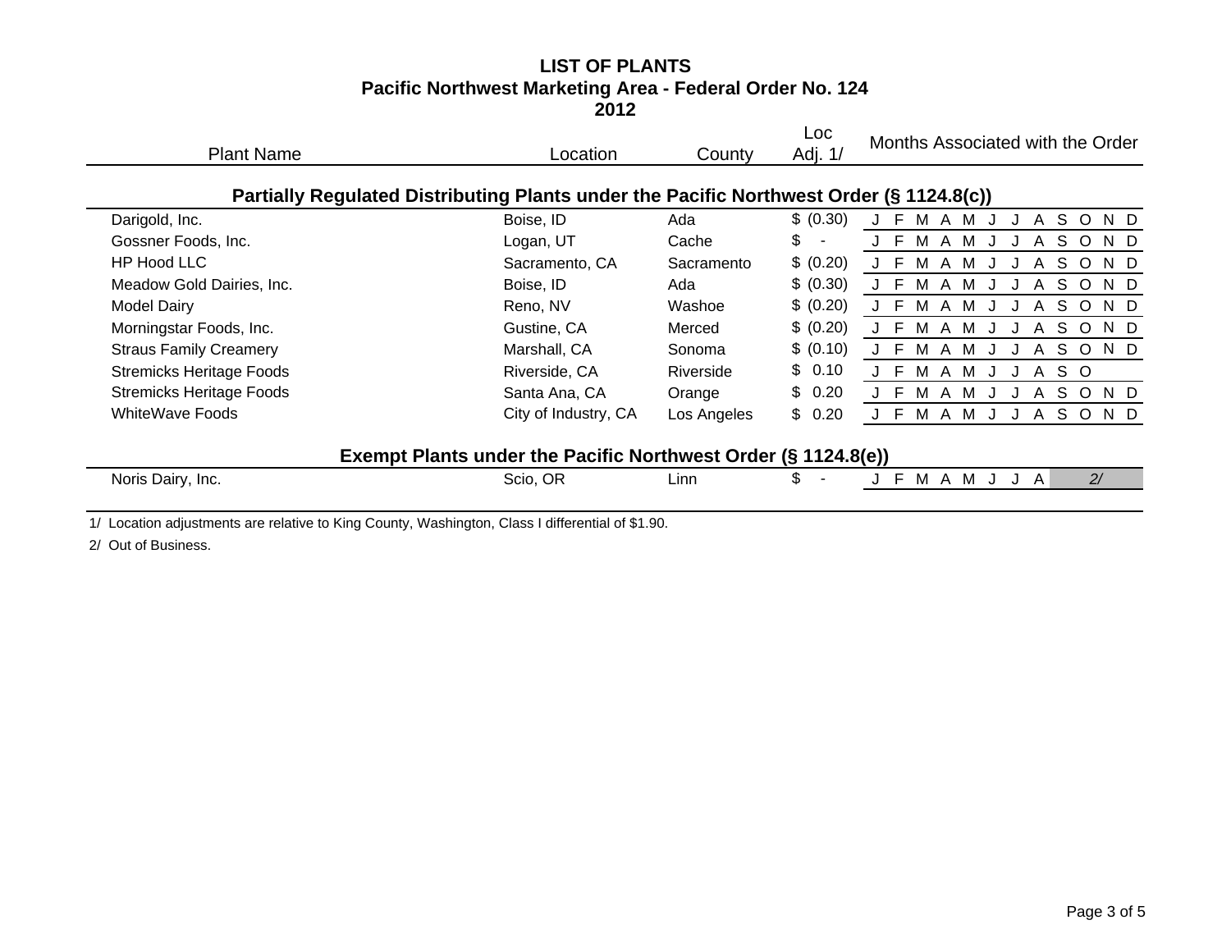# **LIST OF PLANTSPacific Northwest Marketing Area - Federal Order No. 124**

**2012**

| <b>Plant Name</b>                                                                                | Location                                                      | County      | Loc<br>Adj. 1/       | Months Associated with the Order                         |
|--------------------------------------------------------------------------------------------------|---------------------------------------------------------------|-------------|----------------------|----------------------------------------------------------|
| Partially Regulated Distributing Plants under the Pacific Northwest Order (§ 1124.8(c))          |                                                               |             |                      |                                                          |
| Darigold, Inc.                                                                                   | Boise, ID                                                     | Ada         | \$ (0.30)            | S O<br>A<br>м<br>M<br>N D<br>$\mathsf{A}$                |
| Gossner Foods, Inc.                                                                              | Logan, UT                                                     | Cache       | \$<br>$\blacksquare$ | E<br>S<br>M<br>M<br>$\circ$<br>N D<br>A<br>A             |
| HP Hood LLC                                                                                      | Sacramento, CA                                                | Sacramento  | \$ (0.20)            | S<br>M<br>$\circ$<br>N D<br>м<br>A<br>A                  |
| Meadow Gold Dairies, Inc.                                                                        | Boise, ID                                                     | Ada         | \$ (0.30)            | F<br>S<br>M<br>M<br>$\circ$<br>N D<br>A<br>A             |
| <b>Model Dairy</b>                                                                               | Reno, NV                                                      | Washoe      | \$ (0.20)            | E<br>S.<br>$\circ$<br>M<br>M<br>N D<br>$\mathsf{A}$<br>A |
| Morningstar Foods, Inc.                                                                          | Gustine, CA                                                   | Merced      | \$ (0.20)            | E<br>S.<br>N D<br>M<br>$\circ$<br>M<br>A<br>A            |
| <b>Straus Family Creamery</b>                                                                    | Marshall, CA                                                  | Sonoma      | \$ (0.10)            | S<br>N D<br>F.<br>M<br>$\circ$<br>M<br>A<br>A            |
| <b>Stremicks Heritage Foods</b>                                                                  | Riverside, CA                                                 | Riverside   | \$0.10               | E<br>S O<br>M<br>M<br>A<br>A                             |
| <b>Stremicks Heritage Foods</b>                                                                  | Santa Ana, CA                                                 | Orange      | 0.20<br>\$           | E<br>S.<br>$\circ$<br>N D<br>M<br>A<br>A<br>м            |
| WhiteWave Foods                                                                                  | City of Industry, CA                                          | Los Angeles | \$0.20               | F<br>M A M<br>SOND<br>$\mathsf{A}$                       |
|                                                                                                  | Exempt Plants under the Pacific Northwest Order (§ 1124.8(e)) |             |                      |                                                          |
| Noris Dairy, Inc.                                                                                | Scio, OR                                                      | Linn        | \$                   | F.<br>M A M<br>2/<br>A                                   |
| 1/ Location adjustments are relative to King County, Washington, Class I differential of \$1.90. |                                                               |             |                      |                                                          |

2/ Out of Business.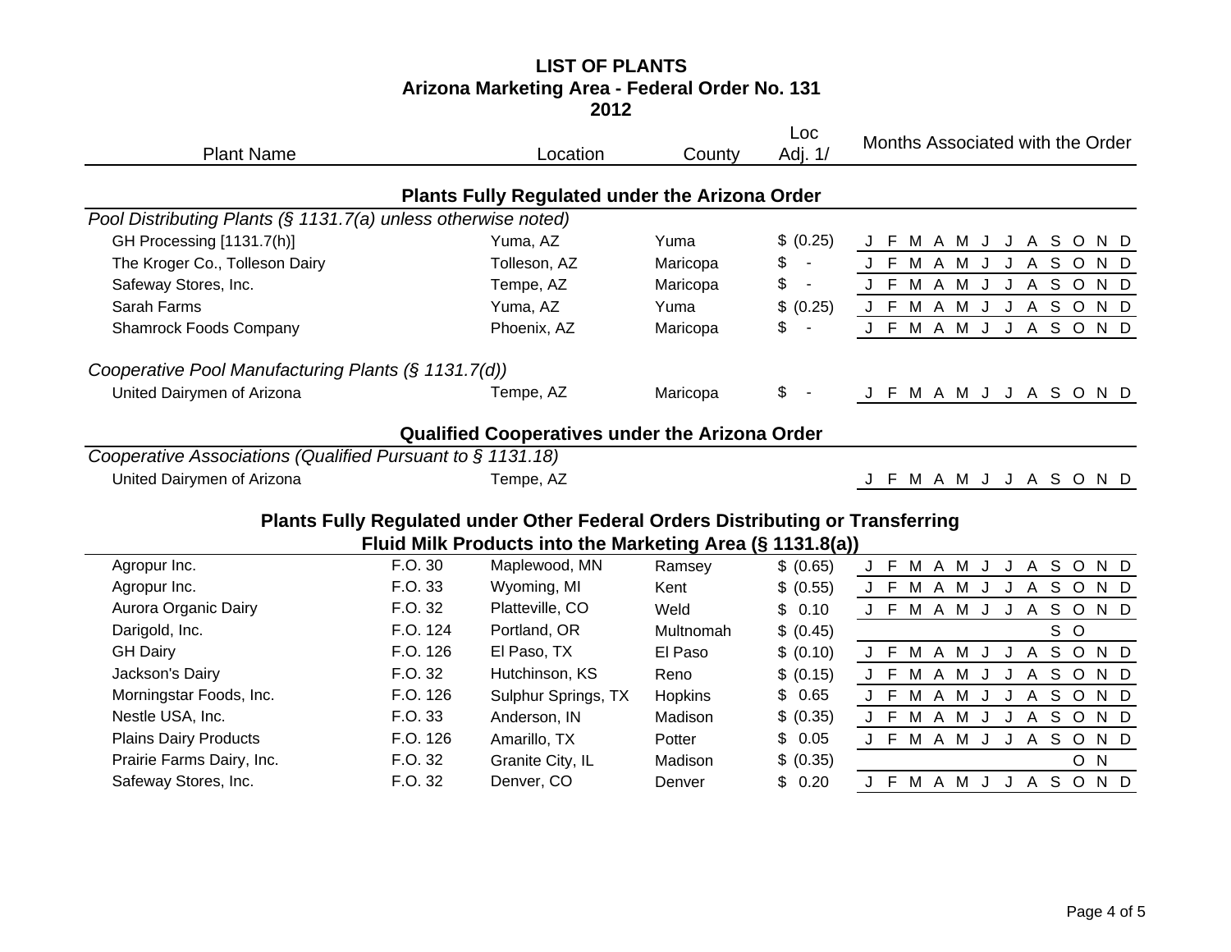### **LIST OF PLANTS Arizona Marketing Area - Federal Order No. 131 2012**

|                                                               |          |                                                                                |           | Loc                            |                                                      |
|---------------------------------------------------------------|----------|--------------------------------------------------------------------------------|-----------|--------------------------------|------------------------------------------------------|
| <b>Plant Name</b>                                             |          | Location                                                                       | County    | Adj. 1/                        | Months Associated with the Order                     |
|                                                               |          | Plants Fully Regulated under the Arizona Order                                 |           |                                |                                                      |
| Pool Distributing Plants (§ 1131.7(a) unless otherwise noted) |          |                                                                                |           |                                |                                                      |
| GH Processing [1131.7(h)]                                     |          | Yuma, AZ                                                                       | Yuma      | \$ (0.25)                      | J F M A M J J A S O<br>N D                           |
| The Kroger Co., Tolleson Dairy                                |          | Tolleson, AZ                                                                   | Maricopa  | \$<br>$\overline{\phantom{a}}$ | J F M A M J J A S O<br>N D                           |
| Safeway Stores, Inc.                                          |          | Tempe, AZ                                                                      | Maricopa  | \$                             | J F M A M J J A S O<br>N D                           |
| Sarah Farms                                                   |          | Yuma, AZ                                                                       | Yuma      | \$<br>(0.25)                   | J F M A M J J A S O<br>N D                           |
| <b>Shamrock Foods Company</b>                                 |          | Phoenix, AZ                                                                    | Maricopa  | \$                             | J F M A M J J A S O N D                              |
| Cooperative Pool Manufacturing Plants (§ 1131.7(d))           |          |                                                                                |           |                                |                                                      |
| United Dairymen of Arizona                                    |          | Tempe, AZ                                                                      | Maricopa  | \$                             | J F M A M J J A S O N D                              |
|                                                               |          | Qualified Cooperatives under the Arizona Order                                 |           |                                |                                                      |
| Cooperative Associations (Qualified Pursuant to § 1131.18)    |          |                                                                                |           |                                |                                                      |
| United Dairymen of Arizona                                    |          | Tempe, AZ                                                                      |           |                                | J F M A M J J A S O<br>N D                           |
|                                                               |          | Plants Fully Regulated under Other Federal Orders Distributing or Transferring |           |                                |                                                      |
|                                                               |          | Fluid Milk Products into the Marketing Area (§ 1131.8(a))                      |           |                                |                                                      |
| Agropur Inc.                                                  | F.O. 30  | Maplewood, MN                                                                  | Ramsey    | \$ (0.65)                      | J F M A M J J A S O<br>N D                           |
| Agropur Inc.                                                  | F.O. 33  | Wyoming, MI                                                                    | Kent      | \$ (0.55)                      | M A M J J A S O<br>J F<br>N D                        |
| Aurora Organic Dairy                                          | F.O. 32  | Platteville, CO                                                                | Weld      | \$<br>0.10                     | J F M A M J J A S O<br>N D                           |
| Darigold, Inc.                                                | F.O. 124 | Portland, OR                                                                   | Multnomah | \$ (0.45)                      | S O                                                  |
| <b>GH Dairy</b>                                               | F.O. 126 | El Paso, TX                                                                    | El Paso   | \$ (0.10)                      | M A M J J A S O<br>N D<br>J F                        |
| Jackson's Dairy                                               | F.O. 32  | Hutchinson, KS                                                                 | Reno      | \$ (0.15)                      | J F M A M J<br>J A S O<br>N D                        |
| Morningstar Foods, Inc.                                       | F.O. 126 | Sulphur Springs, TX                                                            | Hopkins   | \$<br>0.65                     | M A M<br>S O<br>J F<br>J<br>$\mathsf{A}$<br>N D<br>J |
| Nestle USA, Inc.                                              | F.O. 33  | Anderson, IN                                                                   | Madison   | \$ (0.35)                      | J F M A M J J A S O<br>N D                           |
| <b>Plains Dairy Products</b>                                  | F.O. 126 | Amarillo, TX                                                                   | Potter    | \$<br>0.05                     | J F M A M J J A S O<br>N D                           |
| Prairie Farms Dairy, Inc.                                     | F.O. 32  | Granite City, IL                                                               | Madison   | \$ (0.35)                      | $\circ$<br>N                                         |
| Safeway Stores, Inc.                                          | F.O. 32  | Denver, CO                                                                     | Denver    | \$<br>0.20                     | J F M A M J J A S O<br>N D                           |
|                                                               |          |                                                                                |           |                                |                                                      |